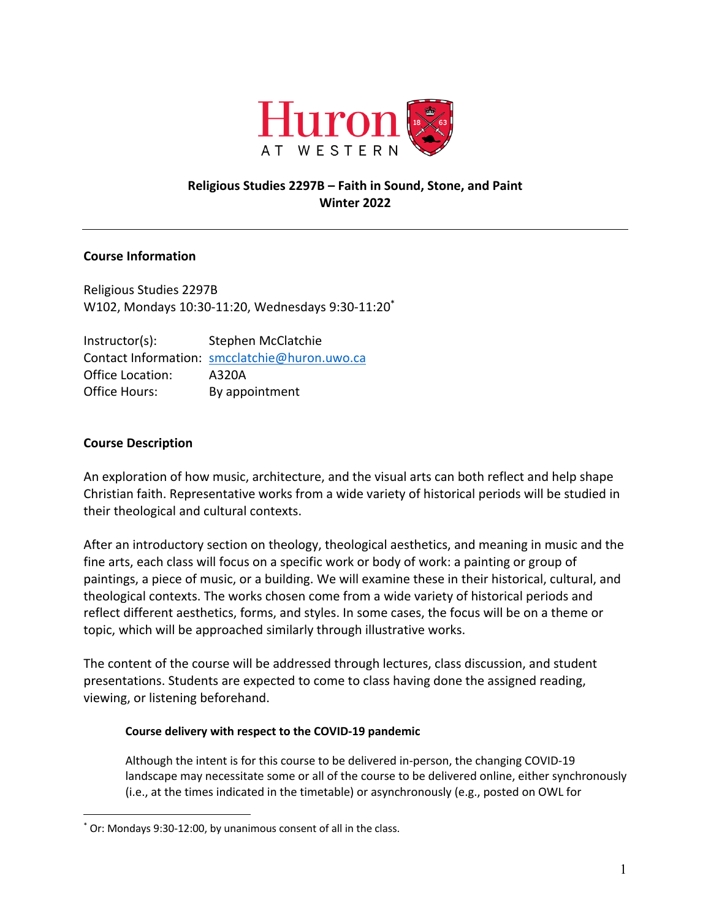

# **Religious Studies 2297B – Faith in Sound, Stone, and Paint Winter 2022**

## **Course Information**

Religious Studies 2297B W102, Mondays 10:30-11:20, Wednesdays 9:30-11:20\*

Instructor(s): Stephen McClatchie Contact Information: smcclatchie@huron.uwo.ca Office Location: A320A Office Hours: By appointment

# **Course Description**

An exploration of how music, architecture, and the visual arts can both reflect and help shape Christian faith. Representative works from a wide variety of historical periods will be studied in their theological and cultural contexts.

After an introductory section on theology, theological aesthetics, and meaning in music and the fine arts, each class will focus on a specific work or body of work: a painting or group of paintings, a piece of music, or a building. We will examine these in their historical, cultural, and theological contexts. The works chosen come from a wide variety of historical periods and reflect different aesthetics, forms, and styles. In some cases, the focus will be on a theme or topic, which will be approached similarly through illustrative works.

The content of the course will be addressed through lectures, class discussion, and student presentations. Students are expected to come to class having done the assigned reading, viewing, or listening beforehand.

### **Course delivery with respect to the COVID-19 pandemic**

Although the intent is for this course to be delivered in-person, the changing COVID-19 landscape may necessitate some or all of the course to be delivered online, either synchronously (i.e., at the times indicated in the timetable) or asynchronously (e.g., posted on OWL for

<sup>\*</sup> Or: Mondays 9:30-12:00, by unanimous consent of all in the class.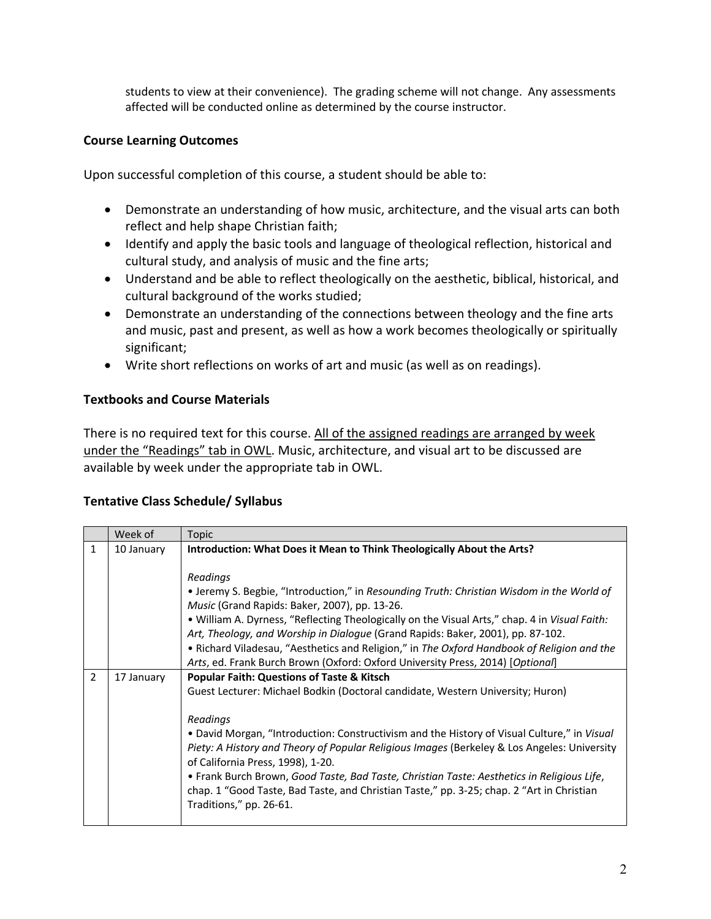students to view at their convenience). The grading scheme will not change. Any assessments affected will be conducted online as determined by the course instructor.

# **Course Learning Outcomes**

Upon successful completion of this course, a student should be able to:

- Demonstrate an understanding of how music, architecture, and the visual arts can both reflect and help shape Christian faith;
- Identify and apply the basic tools and language of theological reflection, historical and cultural study, and analysis of music and the fine arts;
- Understand and be able to reflect theologically on the aesthetic, biblical, historical, and cultural background of the works studied;
- Demonstrate an understanding of the connections between theology and the fine arts and music, past and present, as well as how a work becomes theologically or spiritually significant;
- Write short reflections on works of art and music (as well as on readings).

# **Textbooks and Course Materials**

There is no required text for this course. All of the assigned readings are arranged by week under the "Readings" tab in OWL. Music, architecture, and visual art to be discussed are available by week under the appropriate tab in OWL.

## **Tentative Class Schedule/ Syllabus**

|              | Week of    | <b>Topic</b>                                                                                                                     |
|--------------|------------|----------------------------------------------------------------------------------------------------------------------------------|
| $\mathbf{1}$ | 10 January | Introduction: What Does it Mean to Think Theologically About the Arts?                                                           |
|              |            |                                                                                                                                  |
|              |            | Readings                                                                                                                         |
|              |            | • Jeremy S. Begbie, "Introduction," in Resounding Truth: Christian Wisdom in the World of                                        |
|              |            | Music (Grand Rapids: Baker, 2007), pp. 13-26.                                                                                    |
|              |            | . William A. Dyrness, "Reflecting Theologically on the Visual Arts," chap. 4 in Visual Faith:                                    |
|              |            | Art, Theology, and Worship in Dialogue (Grand Rapids: Baker, 2001), pp. 87-102.                                                  |
|              |            | • Richard Viladesau, "Aesthetics and Religion," in The Oxford Handbook of Religion and the                                       |
|              |            | Arts, ed. Frank Burch Brown (Oxford: Oxford University Press, 2014) [Optional]                                                   |
| 2            | 17 January | <b>Popular Faith: Questions of Taste &amp; Kitsch</b>                                                                            |
|              |            | Guest Lecturer: Michael Bodkin (Doctoral candidate, Western University; Huron)                                                   |
|              |            |                                                                                                                                  |
|              |            | Readings                                                                                                                         |
|              |            | . David Morgan, "Introduction: Constructivism and the History of Visual Culture," in Visual                                      |
|              |            | Piety: A History and Theory of Popular Religious Images (Berkeley & Los Angeles: University<br>of California Press, 1998), 1-20. |
|              |            | • Frank Burch Brown, Good Taste, Bad Taste, Christian Taste: Aesthetics in Religious Life,                                       |
|              |            | chap. 1 "Good Taste, Bad Taste, and Christian Taste," pp. 3-25; chap. 2 "Art in Christian                                        |
|              |            | Traditions," pp. 26-61.                                                                                                          |
|              |            |                                                                                                                                  |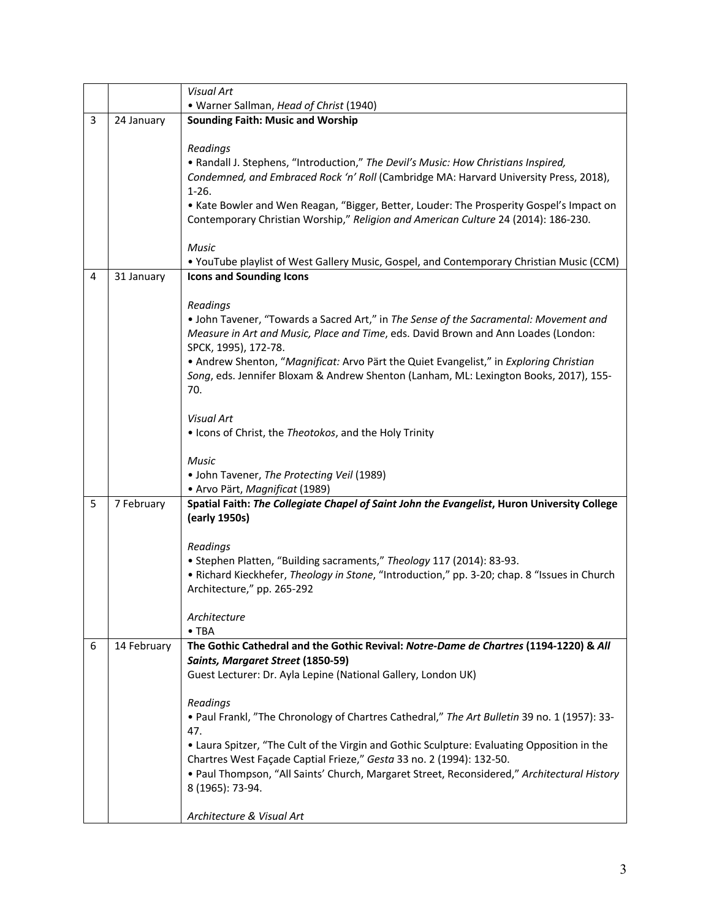|   |             | <b>Visual Art</b>                                                                                                                                                               |
|---|-------------|---------------------------------------------------------------------------------------------------------------------------------------------------------------------------------|
|   |             | • Warner Sallman, Head of Christ (1940)                                                                                                                                         |
| 3 | 24 January  | <b>Sounding Faith: Music and Worship</b>                                                                                                                                        |
|   |             |                                                                                                                                                                                 |
|   |             | Readings                                                                                                                                                                        |
|   |             | • Randall J. Stephens, "Introduction," The Devil's Music: How Christians Inspired,                                                                                              |
|   |             | Condemned, and Embraced Rock 'n' Roll (Cambridge MA: Harvard University Press, 2018),                                                                                           |
|   |             | $1-26.$                                                                                                                                                                         |
|   |             | • Kate Bowler and Wen Reagan, "Bigger, Better, Louder: The Prosperity Gospel's Impact on                                                                                        |
|   |             | Contemporary Christian Worship," Religion and American Culture 24 (2014): 186-230.                                                                                              |
|   |             | <b>Music</b>                                                                                                                                                                    |
|   |             | • YouTube playlist of West Gallery Music, Gospel, and Contemporary Christian Music (CCM)                                                                                        |
| 4 | 31 January  | <b>Icons and Sounding Icons</b>                                                                                                                                                 |
|   |             |                                                                                                                                                                                 |
|   |             | Readings                                                                                                                                                                        |
|   |             | . John Tavener, "Towards a Sacred Art," in The Sense of the Sacramental: Movement and                                                                                           |
|   |             | Measure in Art and Music, Place and Time, eds. David Brown and Ann Loades (London:                                                                                              |
|   |             | SPCK, 1995), 172-78.                                                                                                                                                            |
|   |             | • Andrew Shenton, "Magnificat: Arvo Pärt the Quiet Evangelist," in Exploring Christian<br>Song, eds. Jennifer Bloxam & Andrew Shenton (Lanham, ML: Lexington Books, 2017), 155- |
|   |             | 70.                                                                                                                                                                             |
|   |             |                                                                                                                                                                                 |
|   |             | <b>Visual Art</b>                                                                                                                                                               |
|   |             | . Icons of Christ, the Theotokos, and the Holy Trinity                                                                                                                          |
|   |             |                                                                                                                                                                                 |
|   |             | Music<br>• John Tavener, The Protecting Veil (1989)                                                                                                                             |
|   |             | · Arvo Pärt, Magnificat (1989)                                                                                                                                                  |
| 5 | 7 February  | Spatial Faith: The Collegiate Chapel of Saint John the Evangelist, Huron University College                                                                                     |
|   |             | (early 1950s)                                                                                                                                                                   |
|   |             |                                                                                                                                                                                 |
|   |             | Readings                                                                                                                                                                        |
|   |             | • Stephen Platten, "Building sacraments," Theology 117 (2014): 83-93.                                                                                                           |
|   |             | • Richard Kieckhefer, Theology in Stone, "Introduction," pp. 3-20; chap. 8 "Issues in Church                                                                                    |
|   |             | Architecture," pp. 265-292                                                                                                                                                      |
|   |             | Architecture                                                                                                                                                                    |
|   |             | $\bullet$ TBA                                                                                                                                                                   |
| 6 | 14 February | The Gothic Cathedral and the Gothic Revival: Notre-Dame de Chartres (1194-1220) & All                                                                                           |
|   |             | Saints, Margaret Street (1850-59)                                                                                                                                               |
|   |             | Guest Lecturer: Dr. Ayla Lepine (National Gallery, London UK)                                                                                                                   |
|   |             | Readings                                                                                                                                                                        |
|   |             | • Paul Frankl, "The Chronology of Chartres Cathedral," The Art Bulletin 39 no. 1 (1957): 33-                                                                                    |
|   |             | 47.                                                                                                                                                                             |
|   |             | • Laura Spitzer, "The Cult of the Virgin and Gothic Sculpture: Evaluating Opposition in the                                                                                     |
|   |             | Chartres West Façade Captial Frieze," Gesta 33 no. 2 (1994): 132-50.                                                                                                            |
|   |             | . Paul Thompson, "All Saints' Church, Margaret Street, Reconsidered," Architectural History                                                                                     |
|   |             | 8 (1965): 73-94.                                                                                                                                                                |
|   |             |                                                                                                                                                                                 |
|   |             | Architecture & Visual Art                                                                                                                                                       |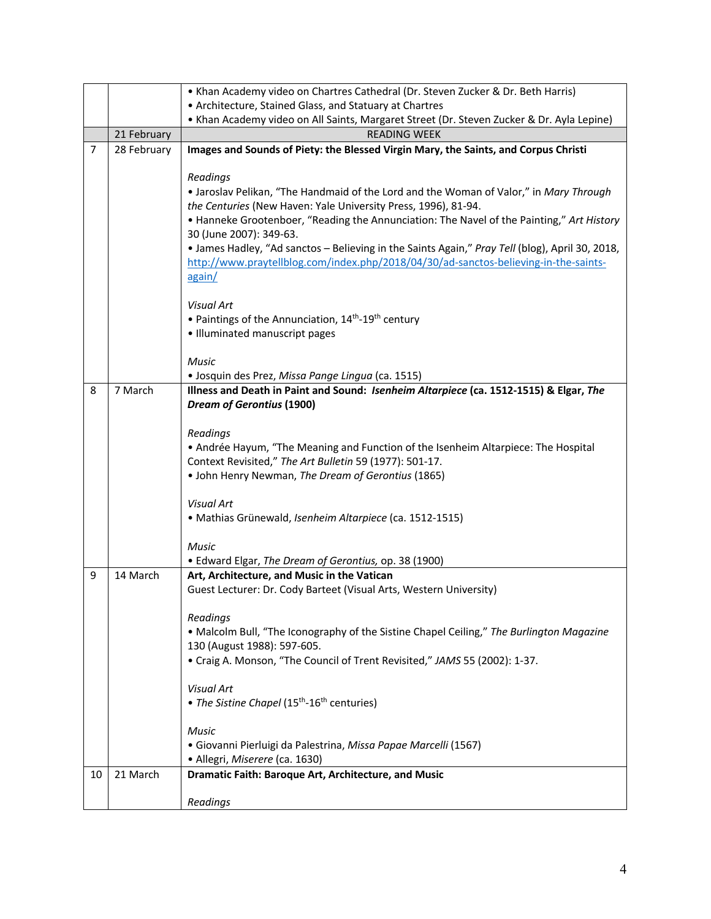|    |             | • Khan Academy video on Chartres Cathedral (Dr. Steven Zucker & Dr. Beth Harris)                                                                                                        |
|----|-------------|-----------------------------------------------------------------------------------------------------------------------------------------------------------------------------------------|
|    |             | • Architecture, Stained Glass, and Statuary at Chartres                                                                                                                                 |
|    |             | • Khan Academy video on All Saints, Margaret Street (Dr. Steven Zucker & Dr. Ayla Lepine)                                                                                               |
|    | 21 February | <b>READING WEEK</b>                                                                                                                                                                     |
| 7  | 28 February | Images and Sounds of Piety: the Blessed Virgin Mary, the Saints, and Corpus Christi                                                                                                     |
|    |             | Readings                                                                                                                                                                                |
|    |             | • Jaroslav Pelikan, "The Handmaid of the Lord and the Woman of Valor," in Mary Through                                                                                                  |
|    |             | the Centuries (New Haven: Yale University Press, 1996), 81-94.                                                                                                                          |
|    |             | • Hanneke Grootenboer, "Reading the Annunciation: The Navel of the Painting," Art History                                                                                               |
|    |             | 30 (June 2007): 349-63.                                                                                                                                                                 |
|    |             | • James Hadley, "Ad sanctos - Believing in the Saints Again," Pray Tell (blog), April 30, 2018,<br>http://www.praytellblog.com/index.php/2018/04/30/ad-sanctos-believing-in-the-saints- |
|    |             | again/                                                                                                                                                                                  |
|    |             |                                                                                                                                                                                         |
|    |             | <b>Visual Art</b>                                                                                                                                                                       |
|    |             | • Paintings of the Annunciation, 14 <sup>th</sup> -19 <sup>th</sup> century                                                                                                             |
|    |             | · Illuminated manuscript pages                                                                                                                                                          |
|    |             | Music                                                                                                                                                                                   |
|    |             | · Josquin des Prez, Missa Pange Lingua (ca. 1515)                                                                                                                                       |
| 8  | 7 March     | Illness and Death in Paint and Sound: Isenheim Altarpiece (ca. 1512-1515) & Elgar, The                                                                                                  |
|    |             | <b>Dream of Gerontius (1900)</b>                                                                                                                                                        |
|    |             | Readings                                                                                                                                                                                |
|    |             | • Andrée Hayum, "The Meaning and Function of the Isenheim Altarpiece: The Hospital                                                                                                      |
|    |             | Context Revisited," The Art Bulletin 59 (1977): 501-17.                                                                                                                                 |
|    |             | • John Henry Newman, The Dream of Gerontius (1865)                                                                                                                                      |
|    |             |                                                                                                                                                                                         |
|    |             | <b>Visual Art</b><br>· Mathias Grünewald, Isenheim Altarpiece (ca. 1512-1515)                                                                                                           |
|    |             |                                                                                                                                                                                         |
|    |             | <b>Music</b>                                                                                                                                                                            |
|    |             | • Edward Elgar, The Dream of Gerontius, op. 38 (1900)                                                                                                                                   |
| 9  | 14 March    | Art, Architecture, and Music in the Vatican                                                                                                                                             |
|    |             | Guest Lecturer: Dr. Cody Barteet (Visual Arts, Western University)                                                                                                                      |
|    |             | Readings                                                                                                                                                                                |
|    |             | . Malcolm Bull, "The Iconography of the Sistine Chapel Ceiling," The Burlington Magazine                                                                                                |
|    |             | 130 (August 1988): 597-605.                                                                                                                                                             |
|    |             | • Craig A. Monson, "The Council of Trent Revisited," JAMS 55 (2002): 1-37.                                                                                                              |
|    |             | <b>Visual Art</b>                                                                                                                                                                       |
|    |             | • The Sistine Chapel (15 <sup>th</sup> -16 <sup>th</sup> centuries)                                                                                                                     |
|    |             |                                                                                                                                                                                         |
|    |             | Music                                                                                                                                                                                   |
|    |             | · Giovanni Pierluigi da Palestrina, Missa Papae Marcelli (1567)                                                                                                                         |
|    |             | · Allegri, Miserere (ca. 1630)                                                                                                                                                          |
| 10 | 21 March    | Dramatic Faith: Baroque Art, Architecture, and Music                                                                                                                                    |
|    |             | Readings                                                                                                                                                                                |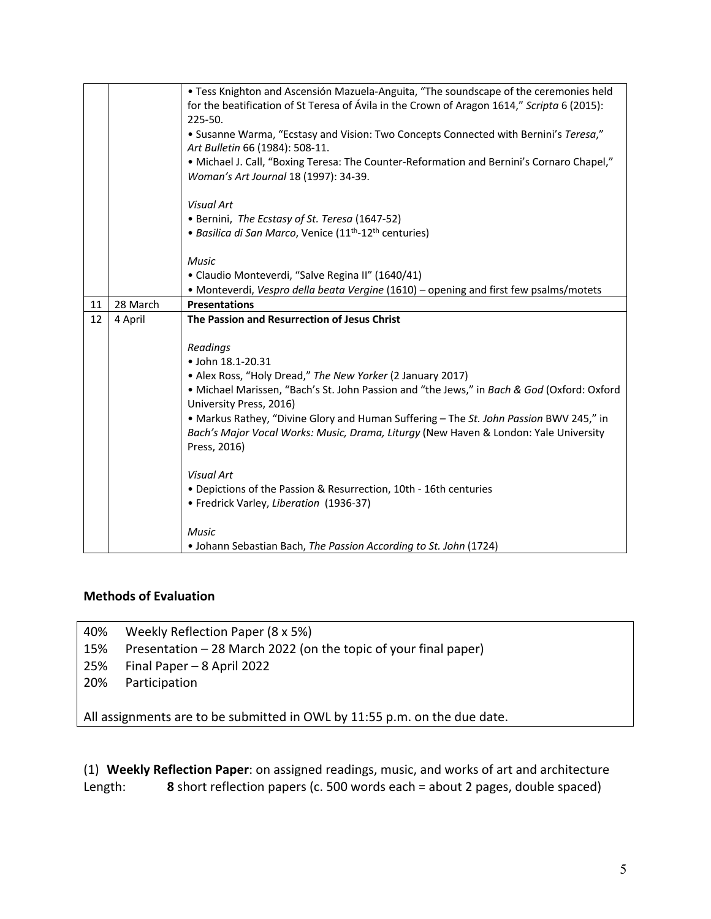|    |          | . Tess Knighton and Ascensión Mazuela-Anguita, "The soundscape of the ceremonies held<br>for the beatification of St Teresa of Ávila in the Crown of Aragon 1614," Scripta 6 (2015):<br>225-50.<br>• Susanne Warma, "Ecstasy and Vision: Two Concepts Connected with Bernini's Teresa,"<br>Art Bulletin 66 (1984): 508-11.<br>• Michael J. Call, "Boxing Teresa: The Counter-Reformation and Bernini's Cornaro Chapel,"<br>Woman's Art Journal 18 (1997): 34-39.<br><b>Visual Art</b> |
|----|----------|---------------------------------------------------------------------------------------------------------------------------------------------------------------------------------------------------------------------------------------------------------------------------------------------------------------------------------------------------------------------------------------------------------------------------------------------------------------------------------------|
|    |          | • Bernini, The Ecstasy of St. Teresa (1647-52)                                                                                                                                                                                                                                                                                                                                                                                                                                        |
|    |          | • Basilica di San Marco, Venice (11 <sup>th</sup> -12 <sup>th</sup> centuries)                                                                                                                                                                                                                                                                                                                                                                                                        |
|    |          | <b>Music</b>                                                                                                                                                                                                                                                                                                                                                                                                                                                                          |
|    |          | • Claudio Monteverdi, "Salve Regina II" (1640/41)                                                                                                                                                                                                                                                                                                                                                                                                                                     |
|    |          | • Monteverdi, Vespro della beata Vergine (1610) - opening and first few psalms/motets                                                                                                                                                                                                                                                                                                                                                                                                 |
| 11 | 28 March | <b>Presentations</b>                                                                                                                                                                                                                                                                                                                                                                                                                                                                  |
| 12 | 4 April  | The Passion and Resurrection of Jesus Christ                                                                                                                                                                                                                                                                                                                                                                                                                                          |
|    |          | Readings<br>· John 18.1-20.31<br>• Alex Ross, "Holy Dread," The New Yorker (2 January 2017)<br>. Michael Marissen, "Bach's St. John Passion and "the Jews," in Bach & God (Oxford: Oxford<br>University Press, 2016)<br>• Markus Rathey, "Divine Glory and Human Suffering - The St. John Passion BWV 245," in<br>Bach's Major Vocal Works: Music, Drama, Liturgy (New Haven & London: Yale University<br>Press, 2016)<br><b>Visual Art</b>                                           |
|    |          | • Depictions of the Passion & Resurrection, 10th - 16th centuries<br>• Fredrick Varley, Liberation (1936-37)<br><b>Music</b>                                                                                                                                                                                                                                                                                                                                                          |
|    |          | • Johann Sebastian Bach, The Passion According to St. John (1724)                                                                                                                                                                                                                                                                                                                                                                                                                     |

## **Methods of Evaluation**

40% Weekly Reflection Paper (8 x 5%)

15% Presentation – 28 March 2022 (on the topic of your final paper)

- 25% Final Paper 8 April 2022
- 20% Participation

All assignments are to be submitted in OWL by 11:55 p.m. on the due date.

(1) **Weekly Reflection Paper**: on assigned readings, music, and works of art and architecture Length: **8** short reflection papers (c. 500 words each = about 2 pages, double spaced)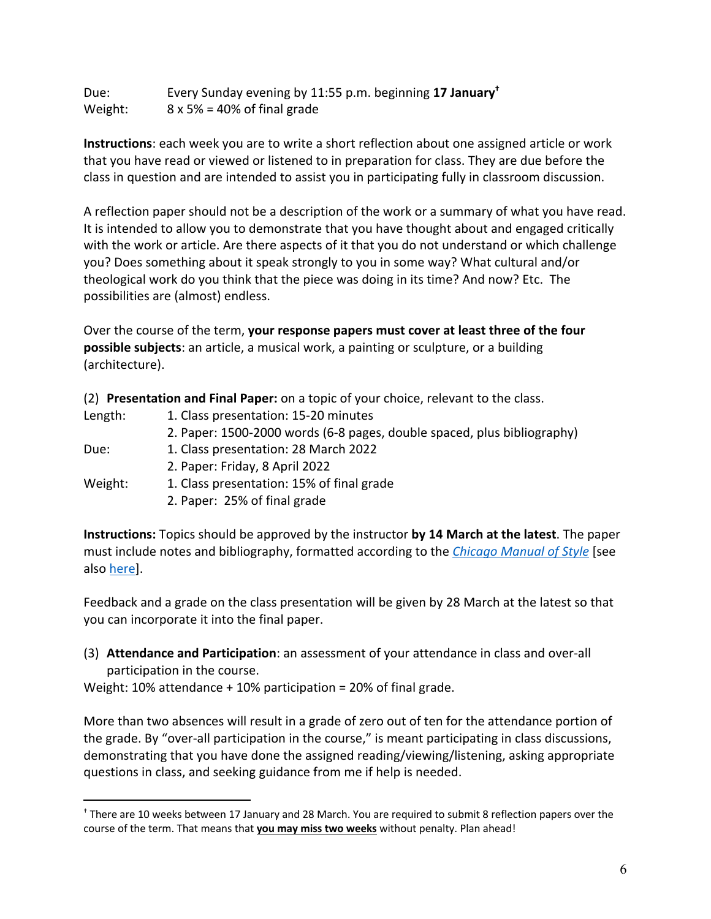| Due:    | Every Sunday evening by 11:55 p.m. beginning 17 January <sup>t</sup> |
|---------|----------------------------------------------------------------------|
| Weight: | $8 \times 5\% = 40\%$ of final grade                                 |

**Instructions**: each week you are to write a short reflection about one assigned article or work that you have read or viewed or listened to in preparation for class. They are due before the class in question and are intended to assist you in participating fully in classroom discussion.

A reflection paper should not be a description of the work or a summary of what you have read. It is intended to allow you to demonstrate that you have thought about and engaged critically with the work or article. Are there aspects of it that you do not understand or which challenge you? Does something about it speak strongly to you in some way? What cultural and/or theological work do you think that the piece was doing in its time? And now? Etc. The possibilities are (almost) endless.

Over the course of the term, **your response papers must cover at least three of the four possible subjects**: an article, a musical work, a painting or sculpture, or a building (architecture).

(2) **Presentation and Final Paper:** on a topic of your choice, relevant to the class.

| Length: | 1. Class presentation: 15-20 minutes                                    |
|---------|-------------------------------------------------------------------------|
|         | 2. Paper: 1500-2000 words (6-8 pages, double spaced, plus bibliography) |
| Due:    | 1. Class presentation: 28 March 2022                                    |
|         | 2. Paper: Friday, 8 April 2022                                          |
| Weight: | 1. Class presentation: 15% of final grade                               |
|         | 3 Bancar 350/office crede                                               |

2. Paper: 25% of final grade

**Instructions:** Topics should be approved by the instructor **by 14 March at the latest**. The paper must include notes and bibliography, formatted according to the *Chicago Manual of Style* [see also here].

Feedback and a grade on the class presentation will be given by 28 March at the latest so that you can incorporate it into the final paper.

(3) **Attendance and Participation**: an assessment of your attendance in class and over-all participation in the course.

Weight: 10% attendance + 10% participation = 20% of final grade.

More than two absences will result in a grade of zero out of ten for the attendance portion of the grade. By "over-all participation in the course," is meant participating in class discussions, demonstrating that you have done the assigned reading/viewing/listening, asking appropriate questions in class, and seeking guidance from me if help is needed.

<sup>†</sup> There are 10 weeks between 17 January and 28 March. You are required to submit 8 reflection papers over the course of the term. That means that **you may miss two weeks** without penalty. Plan ahead!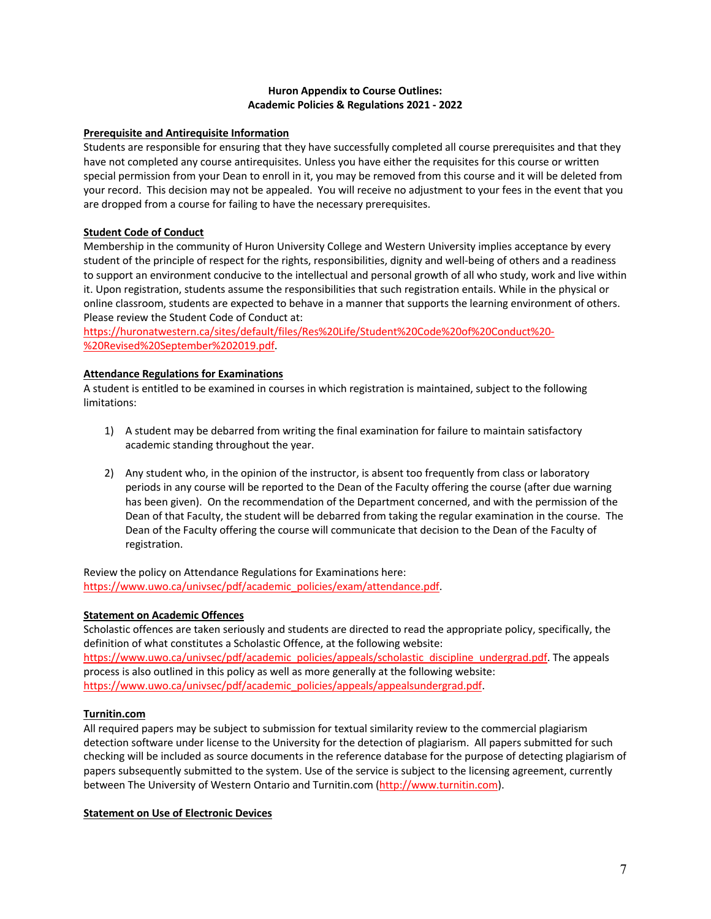#### **Huron Appendix to Course Outlines: Academic Policies & Regulations 2021 - 2022**

#### **Prerequisite and Antirequisite Information**

Students are responsible for ensuring that they have successfully completed all course prerequisites and that they have not completed any course antirequisites. Unless you have either the requisites for this course or written special permission from your Dean to enroll in it, you may be removed from this course and it will be deleted from your record. This decision may not be appealed. You will receive no adjustment to your fees in the event that you are dropped from a course for failing to have the necessary prerequisites.

#### **Student Code of Conduct**

Membership in the community of Huron University College and Western University implies acceptance by every student of the principle of respect for the rights, responsibilities, dignity and well-being of others and a readiness to support an environment conducive to the intellectual and personal growth of all who study, work and live within it. Upon registration, students assume the responsibilities that such registration entails. While in the physical or online classroom, students are expected to behave in a manner that supports the learning environment of others. Please review the Student Code of Conduct at:

https://huronatwestern.ca/sites/default/files/Res%20Life/Student%20Code%20of%20Conduct%20- %20Revised%20September%202019.pdf.

#### **Attendance Regulations for Examinations**

A student is entitled to be examined in courses in which registration is maintained, subject to the following limitations:

- 1) A student may be debarred from writing the final examination for failure to maintain satisfactory academic standing throughout the year.
- 2) Any student who, in the opinion of the instructor, is absent too frequently from class or laboratory periods in any course will be reported to the Dean of the Faculty offering the course (after due warning has been given). On the recommendation of the Department concerned, and with the permission of the Dean of that Faculty, the student will be debarred from taking the regular examination in the course. The Dean of the Faculty offering the course will communicate that decision to the Dean of the Faculty of registration.

Review the policy on Attendance Regulations for Examinations here: https://www.uwo.ca/univsec/pdf/academic\_policies/exam/attendance.pdf.

#### **Statement on Academic Offences**

Scholastic offences are taken seriously and students are directed to read the appropriate policy, specifically, the definition of what constitutes a Scholastic Offence, at the following website: https://www.uwo.ca/univsec/pdf/academic\_policies/appeals/scholastic\_discipline\_undergrad.pdf. The appeals process is also outlined in this policy as well as more generally at the following website: https://www.uwo.ca/univsec/pdf/academic\_policies/appeals/appealsundergrad.pdf.

#### **Turnitin.com**

All required papers may be subject to submission for textual similarity review to the commercial plagiarism detection software under license to the University for the detection of plagiarism. All papers submitted for such checking will be included as source documents in the reference database for the purpose of detecting plagiarism of papers subsequently submitted to the system. Use of the service is subject to the licensing agreement, currently between The University of Western Ontario and Turnitin.com (http://www.turnitin.com).

#### **Statement on Use of Electronic Devices**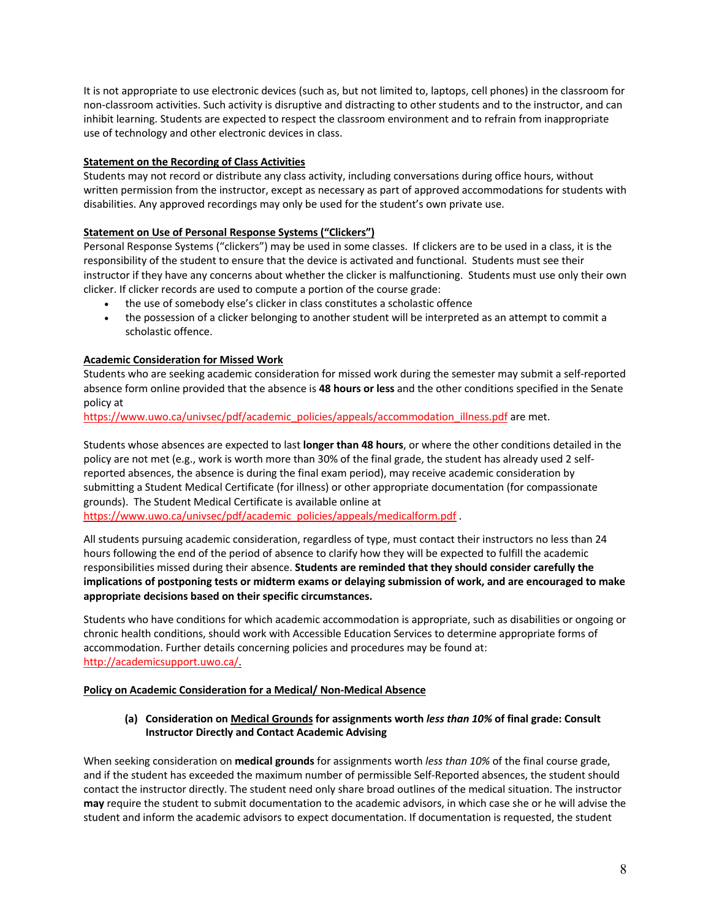It is not appropriate to use electronic devices (such as, but not limited to, laptops, cell phones) in the classroom for non-classroom activities. Such activity is disruptive and distracting to other students and to the instructor, and can inhibit learning. Students are expected to respect the classroom environment and to refrain from inappropriate use of technology and other electronic devices in class.

#### **Statement on the Recording of Class Activities**

Students may not record or distribute any class activity, including conversations during office hours, without written permission from the instructor, except as necessary as part of approved accommodations for students with disabilities. Any approved recordings may only be used for the student's own private use.

### **Statement on Use of Personal Response Systems ("Clickers")**

Personal Response Systems ("clickers") may be used in some classes. If clickers are to be used in a class, it is the responsibility of the student to ensure that the device is activated and functional. Students must see their instructor if they have any concerns about whether the clicker is malfunctioning. Students must use only their own clicker. If clicker records are used to compute a portion of the course grade:

- the use of somebody else's clicker in class constitutes a scholastic offence
- the possession of a clicker belonging to another student will be interpreted as an attempt to commit a scholastic offence.

### **Academic Consideration for Missed Work**

Students who are seeking academic consideration for missed work during the semester may submit a self-reported absence form online provided that the absence is **48 hours or less** and the other conditions specified in the Senate policy at

https://www.uwo.ca/univsec/pdf/academic\_policies/appeals/accommodation\_illness.pdf are met.

Students whose absences are expected to last **longer than 48 hours**, or where the other conditions detailed in the policy are not met (e.g., work is worth more than 30% of the final grade, the student has already used 2 selfreported absences, the absence is during the final exam period), may receive academic consideration by submitting a Student Medical Certificate (for illness) or other appropriate documentation (for compassionate grounds). The Student Medical Certificate is available online at

https://www.uwo.ca/univsec/pdf/academic\_policies/appeals/medicalform.pdf .

All students pursuing academic consideration, regardless of type, must contact their instructors no less than 24 hours following the end of the period of absence to clarify how they will be expected to fulfill the academic responsibilities missed during their absence. **Students are reminded that they should consider carefully the implications of postponing tests or midterm exams or delaying submission of work, and are encouraged to make appropriate decisions based on their specific circumstances.**

Students who have conditions for which academic accommodation is appropriate, such as disabilities or ongoing or chronic health conditions, should work with Accessible Education Services to determine appropriate forms of accommodation. Further details concerning policies and procedures may be found at: http://academicsupport.uwo.ca/.

#### **Policy on Academic Consideration for a Medical/ Non-Medical Absence**

### **(a) Consideration on Medical Grounds for assignments worth** *less than 10%* **of final grade: Consult Instructor Directly and Contact Academic Advising**

When seeking consideration on **medical grounds** for assignments worth *less than 10%* of the final course grade, and if the student has exceeded the maximum number of permissible Self-Reported absences, the student should contact the instructor directly. The student need only share broad outlines of the medical situation. The instructor **may** require the student to submit documentation to the academic advisors, in which case she or he will advise the student and inform the academic advisors to expect documentation. If documentation is requested, the student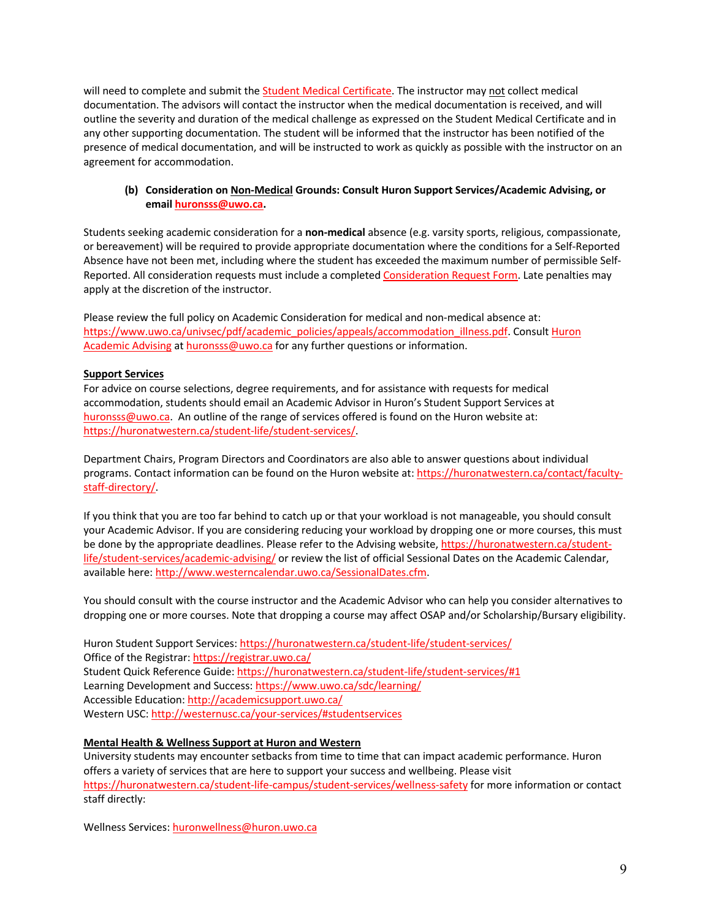will need to complete and submit the Student Medical Certificate. The instructor may not collect medical documentation. The advisors will contact the instructor when the medical documentation is received, and will outline the severity and duration of the medical challenge as expressed on the Student Medical Certificate and in any other supporting documentation. The student will be informed that the instructor has been notified of the presence of medical documentation, and will be instructed to work as quickly as possible with the instructor on an agreement for accommodation.

#### **(b) Consideration on Non-Medical Grounds: Consult Huron Support Services/Academic Advising, or email huronsss@uwo.ca.**

Students seeking academic consideration for a **non-medical** absence (e.g. varsity sports, religious, compassionate, or bereavement) will be required to provide appropriate documentation where the conditions for a Self-Reported Absence have not been met, including where the student has exceeded the maximum number of permissible Self-Reported. All consideration requests must include a completed Consideration Request Form. Late penalties may apply at the discretion of the instructor.

Please review the full policy on Academic Consideration for medical and non-medical absence at: https://www.uwo.ca/univsec/pdf/academic\_policies/appeals/accommodation\_illness.pdf. Consult Huron Academic Advising at huronsss@uwo.ca for any further questions or information.

#### **Support Services**

For advice on course selections, degree requirements, and for assistance with requests for medical accommodation, students should email an Academic Advisor in Huron's Student Support Services at huronsss@uwo.ca. An outline of the range of services offered is found on the Huron website at: https://huronatwestern.ca/student-life/student-services/.

Department Chairs, Program Directors and Coordinators are also able to answer questions about individual programs. Contact information can be found on the Huron website at: https://huronatwestern.ca/contact/facultystaff-directory/.

If you think that you are too far behind to catch up or that your workload is not manageable, you should consult your Academic Advisor. If you are considering reducing your workload by dropping one or more courses, this must be done by the appropriate deadlines. Please refer to the Advising website, https://huronatwestern.ca/studentlife/student-services/academic-advising/ or review the list of official Sessional Dates on the Academic Calendar, available here: http://www.westerncalendar.uwo.ca/SessionalDates.cfm.

You should consult with the course instructor and the Academic Advisor who can help you consider alternatives to dropping one or more courses. Note that dropping a course may affect OSAP and/or Scholarship/Bursary eligibility.

Huron Student Support Services: https://huronatwestern.ca/student-life/student-services/ Office of the Registrar: https://registrar.uwo.ca/ Student Quick Reference Guide: https://huronatwestern.ca/student-life/student-services/#1 Learning Development and Success: https://www.uwo.ca/sdc/learning/ Accessible Education: http://academicsupport.uwo.ca/ Western USC: http://westernusc.ca/your-services/#studentservices

#### **Mental Health & Wellness Support at Huron and Western**

University students may encounter setbacks from time to time that can impact academic performance. Huron offers a variety of services that are here to support your success and wellbeing. Please visit https://huronatwestern.ca/student-life-campus/student-services/wellness-safety for more information or contact staff directly:

Wellness Services: huronwellness@huron.uwo.ca